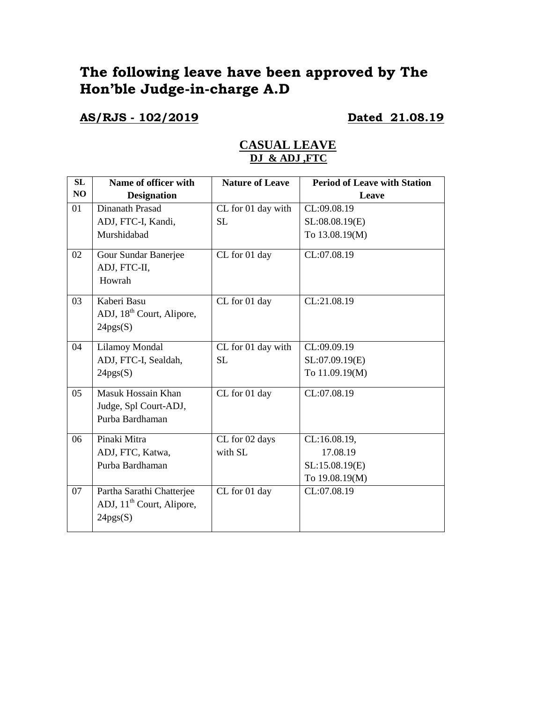# **The following leave have been approved by The Hon'ble Judge-in-charge A.D**

**AS/RJS - 102/2019 Dated 21.08.19**

#### **CASUAL LEAVE DJ & ADJ ,FTC**

| SL | Name of officer with                  | <b>Nature of Leave</b> | <b>Period of Leave with Station</b> |
|----|---------------------------------------|------------------------|-------------------------------------|
| NO | <b>Designation</b>                    |                        | Leave                               |
| 01 | Dinanath Prasad                       | CL for 01 day with     | CL:09.08.19                         |
|    | ADJ, FTC-I, Kandi,                    | SL                     | SL:08.08.19(E)                      |
|    | Murshidabad                           |                        | To 13.08.19(M)                      |
| 02 | Gour Sundar Banerjee                  | CL for 01 day          | CL:07.08.19                         |
|    | ADJ, FTC-II,                          |                        |                                     |
|    | Howrah                                |                        |                                     |
| 03 | Kaberi Basu                           | CL for 01 day          | CL:21.08.19                         |
|    | ADJ, 18 <sup>th</sup> Court, Alipore, |                        |                                     |
|    | 24pgs(S)                              |                        |                                     |
| 04 | Lilamoy Mondal                        | CL for 01 day with     | CL:09.09.19                         |
|    | ADJ, FTC-I, Sealdah,                  | <b>SL</b>              | SL:07.09.19(E)                      |
|    | 24pgs(S)                              |                        | To 11.09.19(M)                      |
| 05 | Masuk Hossain Khan                    | CL for 01 day          | CL:07.08.19                         |
|    | Judge, Spl Court-ADJ,                 |                        |                                     |
|    | Purba Bardhaman                       |                        |                                     |
| 06 | Pinaki Mitra                          | CL for 02 days         | CL:16.08.19,                        |
|    | ADJ, FTC, Katwa,                      | with SL                | 17.08.19                            |
|    | Purba Bardhaman                       |                        | SL:15.08.19(E)                      |
|    |                                       |                        | To 19.08.19(M)                      |
| 07 | Partha Sarathi Chatterjee             | CL for 01 day          | CL:07.08.19                         |
|    | ADJ, 11 <sup>th</sup> Court, Alipore, |                        |                                     |
|    | 24pgs(S)                              |                        |                                     |
|    |                                       |                        |                                     |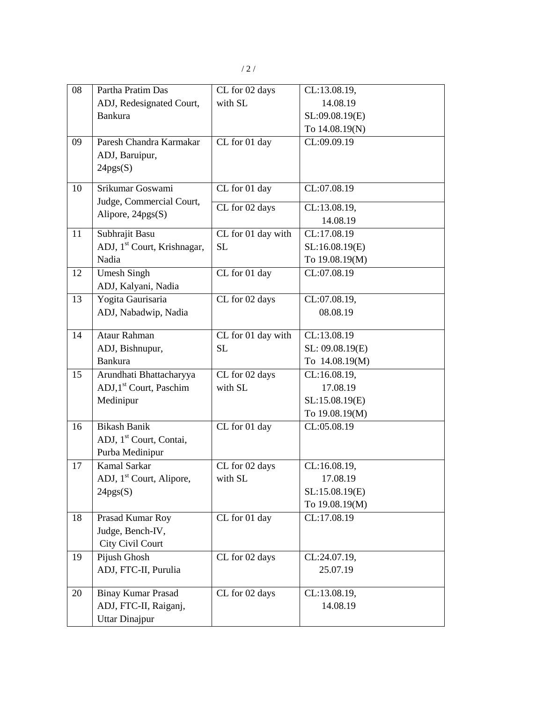| 08 | Partha Pratim Das                       | CL for 02 days           | CL:13.08.19,               |
|----|-----------------------------------------|--------------------------|----------------------------|
|    | ADJ, Redesignated Court,                | with SL                  | 14.08.19                   |
|    | <b>Bankura</b>                          |                          | SL:09.08.19(E)             |
|    |                                         |                          | To 14.08.19(N)             |
| 09 | Paresh Chandra Karmakar                 | CL for 01 day            | CL:09.09.19                |
|    | ADJ, Baruipur,                          |                          |                            |
|    | 24pgs(S)                                |                          |                            |
| 10 | Srikumar Goswami                        | CL for 01 day            | CL:07.08.19                |
|    | Judge, Commercial Court,                | CL for 02 days           | CL:13.08.19,               |
|    | Alipore, 24pgs(S)                       |                          | 14.08.19                   |
| 11 | Subhrajit Basu                          | CL for 01 day with       | CL:17.08.19                |
|    | ADJ, 1 <sup>st</sup> Court, Krishnagar, | <b>SL</b>                | SL:16.08.19(E)             |
|    | Nadia                                   |                          | To 19.08.19(M)             |
| 12 | <b>Umesh Singh</b>                      | CL for 01 day            | CL:07.08.19                |
|    | ADJ, Kalyani, Nadia                     |                          |                            |
| 13 | Yogita Gaurisaria                       | CL for 02 days           | CL:07.08.19,               |
|    | ADJ, Nabadwip, Nadia                    |                          | 08.08.19                   |
| 14 | Ataur Rahman                            |                          | CL:13.08.19                |
|    | ADJ, Bishnupur,                         | CL for 01 day with<br>SL | SL: 09.08.19(E)            |
|    | <b>Bankura</b>                          |                          | To 14.08.19(M)             |
| 15 | Arundhati Bhattacharyya                 | CL for 02 days           | CL:16.08.19,               |
|    | $ADJ,1st$ Court, Paschim                | with SL                  | 17.08.19                   |
|    | Medinipur                               |                          | SL:15.08.19(E)             |
|    |                                         |                          | To 19.08.19(M)             |
| 16 | <b>Bikash Banik</b>                     | CL for 01 day            | CL:05.08.19                |
|    | ADJ, 1 <sup>st</sup> Court, Contai,     |                          |                            |
|    | Purba Medinipur                         |                          |                            |
| 17 | <b>Kamal Sarkar</b>                     | CL for 02 days           | CL:16.08.19,               |
|    | ADJ, 1 <sup>st</sup> Court, Alipore,    | with SL                  | 17.08.19                   |
|    | 24pgs(S)                                |                          | SL:15.08.19(E)             |
|    |                                         |                          | To 19.08.19(M)             |
| 18 | Prasad Kumar Roy                        | CL for 01 day            | CL:17.08.19                |
|    | Judge, Bench-IV,                        |                          |                            |
|    | City Civil Court                        |                          |                            |
| 19 | Pijush Ghosh                            | CL for 02 days           | CL:24.07.19,               |
|    | ADJ, FTC-II, Purulia                    |                          | 25.07.19                   |
| 20 | <b>Binay Kumar Prasad</b>               | CL for 02 days           | $\overline{CL}$ :13.08.19, |
|    | ADJ, FTC-II, Raiganj,                   |                          | 14.08.19                   |
|    | <b>Uttar Dinajpur</b>                   |                          |                            |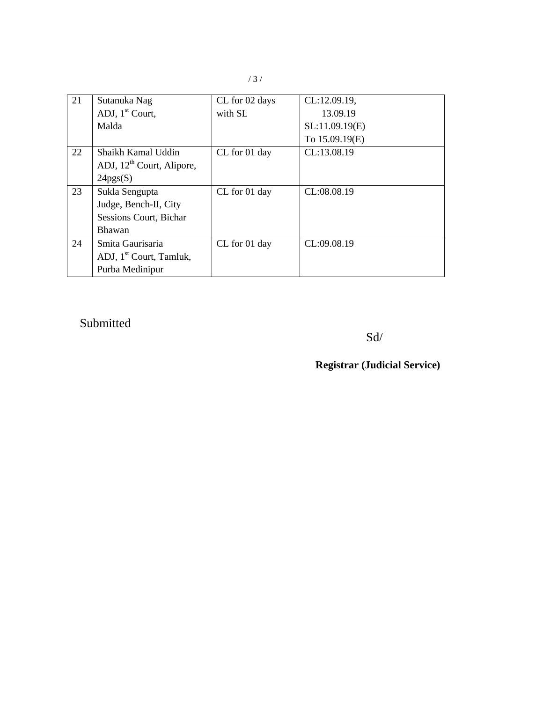| 21 | Sutanuka Nag                          | CL for 02 days | CL:12.09.19,   |
|----|---------------------------------------|----------------|----------------|
|    | ADJ, $1st$ Court,                     | with SL        | 13.09.19       |
|    | Malda                                 |                | SL:11.09.19(E) |
|    |                                       |                | To 15.09.19(E) |
| 22 | Shaikh Kamal Uddin                    | CL for 01 day  | CL:13.08.19    |
|    | ADJ, 12 <sup>th</sup> Court, Alipore, |                |                |
|    | 24pgs(S)                              |                |                |
| 23 | Sukla Sengupta                        | CL for 01 day  | CL:08.08.19    |
|    | Judge, Bench-II, City                 |                |                |
|    | Sessions Court, Bichar                |                |                |
|    | Bhawan                                |                |                |
| 24 | Smita Gaurisaria                      | CL for 01 day  | CL:09.08.19    |
|    | ADJ, 1 <sup>st</sup> Court, Tamluk,   |                |                |
|    | Purba Medinipur                       |                |                |

# Submitted

Sd/

# **Registrar (Judicial Service)**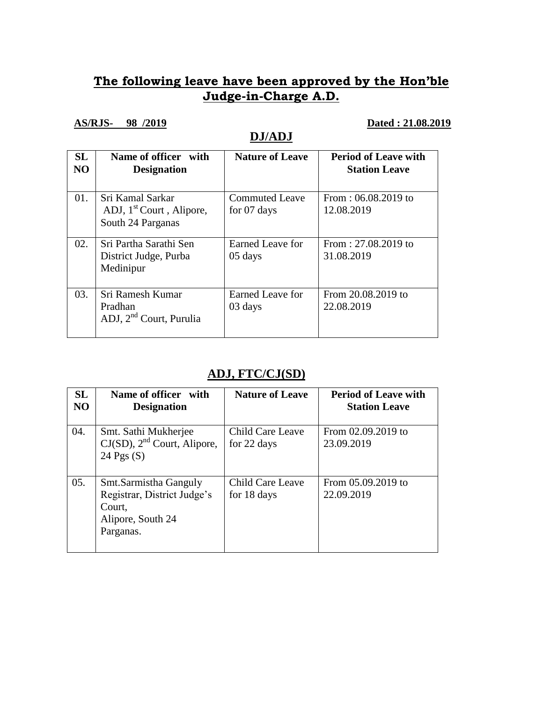## **The following leave have been approved by the Hon'ble Judge-in-Charge A.D.**

**AS/RJS- 98 /2019 Dated : 21.08.2019**

## **DJ/ADJ**

| SL<br>N <sub>O</sub> | Name of officer with<br><b>Designation</b>                          | <b>Nature of Leave</b>             | <b>Period of Leave with</b><br><b>Station Leave</b> |
|----------------------|---------------------------------------------------------------------|------------------------------------|-----------------------------------------------------|
| 01.                  | Sri Kamal Sarkar<br>ADJ, $1st$ Court, Alipore,<br>South 24 Parganas | Commuted Leave<br>for 07 days      | From: $06.08.2019$ to<br>12.08.2019                 |
| 02.                  | Sri Partha Sarathi Sen<br>District Judge, Purba<br>Medinipur        | Earned Leave for<br>05 days        | From: $27.08.2019$ to<br>31.08.2019                 |
| 03.                  | Sri Ramesh Kumar<br>Pradhan<br>ADJ, 2 <sup>nd</sup> Court, Purulia  | <b>Earned Leave for</b><br>03 days | From 20.08.2019 to<br>22.08.2019                    |

### **ADJ, FTC/CJ(SD)**

| <b>SL</b><br>N <sub>O</sub> | Name of officer with<br><b>Designation</b>                                                       | <b>Nature of Leave</b>          | <b>Period of Leave with</b><br><b>Station Leave</b> |
|-----------------------------|--------------------------------------------------------------------------------------------------|---------------------------------|-----------------------------------------------------|
| 04.                         | Smt. Sathi Mukherjee<br>$CJ(SD)$ , $2nd$ Court, Alipore,<br>24 Pgs $(S)$                         | Child Care Leave<br>for 22 days | From 02.09.2019 to<br>23.09.2019                    |
| 05.                         | Smt.Sarmistha Ganguly<br>Registrar, District Judge's<br>Court,<br>Alipore, South 24<br>Parganas. | Child Care Leave<br>for 18 days | From 05.09.2019 to<br>22.09.2019                    |